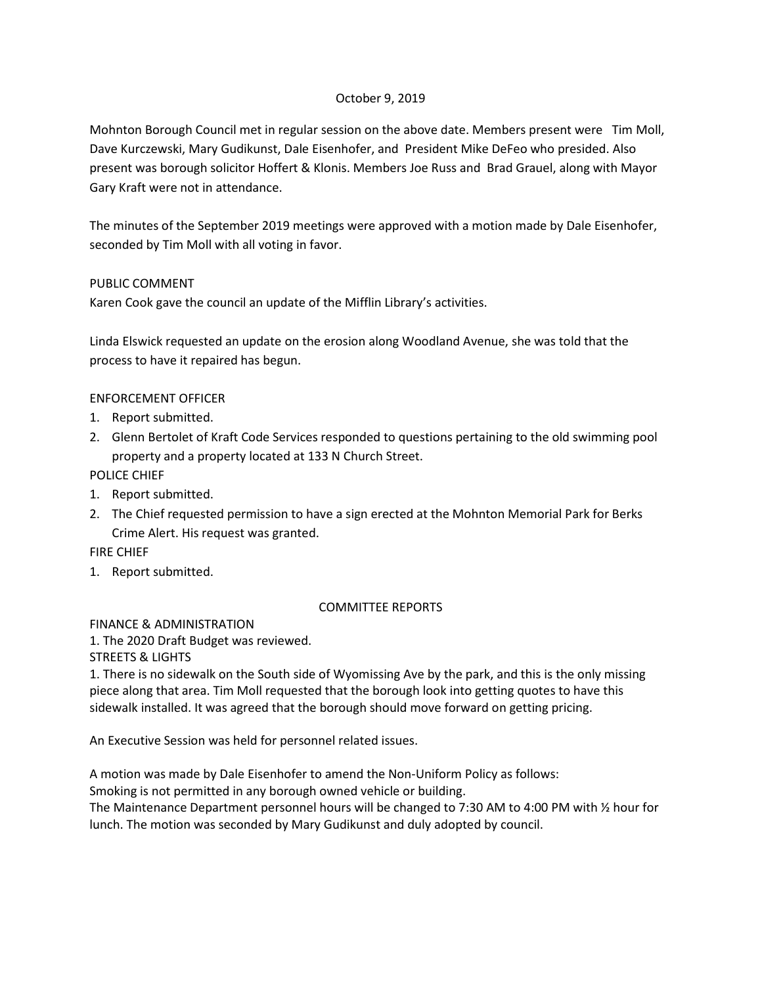## October 9, 2019

Mohnton Borough Council met in regular session on the above date. Members present were Tim Moll, Dave Kurczewski, Mary Gudikunst, Dale Eisenhofer, and President Mike DeFeo who presided. Also present was borough solicitor Hoffert & Klonis. Members Joe Russ and Brad Grauel, along with Mayor Gary Kraft were not in attendance.

The minutes of the September 2019 meetings were approved with a motion made by Dale Eisenhofer, seconded by Tim Moll with all voting in favor.

## PUBLIC COMMENT

Karen Cook gave the council an update of the Mifflin Library's activities.

Linda Elswick requested an update on the erosion along Woodland Avenue, she was told that the process to have it repaired has begun.

## ENFORCEMENT OFFICER

- 1. Report submitted.
- 2. Glenn Bertolet of Kraft Code Services responded to questions pertaining to the old swimming pool property and a property located at 133 N Church Street.

POLICE CHIEF

- 1. Report submitted.
- 2. The Chief requested permission to have a sign erected at the Mohnton Memorial Park for Berks Crime Alert. His request was granted.

FIRE CHIEF

1. Report submitted.

## COMMITTEE REPORTS

FINANCE & ADMINISTRATION

1. The 2020 Draft Budget was reviewed.

STREETS & LIGHTS

1. There is no sidewalk on the South side of Wyomissing Ave by the park, and this is the only missing piece along that area. Tim Moll requested that the borough look into getting quotes to have this sidewalk installed. It was agreed that the borough should move forward on getting pricing.

An Executive Session was held for personnel related issues.

A motion was made by Dale Eisenhofer to amend the Non-Uniform Policy as follows:

Smoking is not permitted in any borough owned vehicle or building.

The Maintenance Department personnel hours will be changed to 7:30 AM to 4:00 PM with ½ hour for lunch. The motion was seconded by Mary Gudikunst and duly adopted by council.